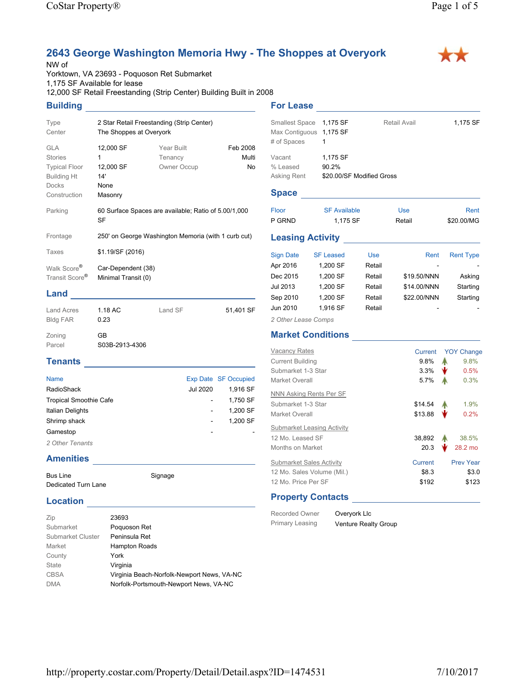# **2643 George Washington Memoria Hwy - The Shoppes at Overyork**

#### NW of

Yorktown, VA 23693 - Poquoson Ret Submarket 1,175 SF Available for lease 12,000 SF Retail Freestanding (Strip Center) Building Built in 2008

### **Building**

| Type<br>Center                                                                                             | The Shoppes at Overyork                               | 2 Star Retail Freestanding (Strip Center)            |                         |
|------------------------------------------------------------------------------------------------------------|-------------------------------------------------------|------------------------------------------------------|-------------------------|
| <b>GLA</b><br><b>Stories</b><br><b>Typical Floor</b><br><b>Building Ht</b><br><b>Docks</b><br>Construction | 12,000 SF<br>1<br>12,000 SF<br>14'<br>None<br>Masonry | Year Built<br>Tenancy<br>Owner Occup                 | Feb 2008<br>Multi<br>No |
| Parking                                                                                                    | SF                                                    | 60 Surface Spaces are available; Ratio of 5.00/1,000 |                         |
| Frontage                                                                                                   |                                                       | 250' on George Washington Memoria (with 1 curb cut)  |                         |
| Taxes                                                                                                      | \$1.19/SF (2016)                                      |                                                      |                         |
| Walk Score <sup>®</sup><br>Transit Score <sup>®</sup>                                                      | Car-Dependent (38)<br>Minimal Transit (0)             |                                                      |                         |
| Land                                                                                                       |                                                       |                                                      |                         |

#### Land Acres 1.18 AC Bldg FAR 0.23 Land SF 51,401 SF Zoning GB Parcel S03B-2913-4306

# **Tenants**

| <b>Name</b>                   |          | Exp Date SF Occupied |
|-------------------------------|----------|----------------------|
| RadioShack                    | Jul 2020 | 1.916 SF             |
| <b>Tropical Smoothie Cafe</b> |          | 1.750 SF             |
| <b>Italian Delights</b>       |          | 1.200 SF             |
| Shrimp shack                  |          | 1.200 SF             |
| Gamestop                      |          |                      |
| 2 Other Tenants               |          |                      |
|                               |          |                      |

Signage

#### **Amenities**

| <b>Bus Line</b>     |  |
|---------------------|--|
| Dedicated Turn Lane |  |

#### **Location**

| Zip               | 23693                                      |
|-------------------|--------------------------------------------|
| Submarket         | Poquoson Ret                               |
| Submarket Cluster | Peninsula Ret                              |
| Market            | <b>Hampton Roads</b>                       |
| County            | York                                       |
| State             | Virginia                                   |
| <b>CBSA</b>       | Virginia Beach-Norfolk-Newport News, VA-NC |
| <b>DMA</b>        | Norfolk-Portsmouth-Newport News, VA-NC     |

#### Smallest Space 1,175 SF Retail Avail 1,175 SF Max Contiguous 1,175 SF # of Spaces 1 Vacant **1,175 SF**

**For Lease**

% Leased 90.2% Asking Rent \$20.00/SF Modified Gross

## **Space**

| Floor  | <b>SF Available</b> | <b>Use</b> | Rent       |
|--------|---------------------|------------|------------|
| P GRND | 1.175 SF            | Retail     | \$20,00/MG |

#### **Leasing Activity**

| <b>Rent Type</b> | Rent        | Use    | <b>SF Leased</b> | <b>Sign Date</b> |
|------------------|-------------|--------|------------------|------------------|
|                  |             | Retail | 1,200 SF         | Apr 2016         |
| Asking           | \$19.50/NNN | Retail | 1,200 SF         | Dec 2015         |
| Starting         | \$14.00/NNN | Retail | 1,200 SF         | Jul 2013         |
| Starting         | \$22.00/NNN | Retail | 1,200 SF         | Sep 2010         |
|                  |             | Retail | 1.916 SF         | Jun 2010         |
|                  |             |        |                  |                  |

*2 Other Lease Comps*

## **Market Conditions**

| <b>Vacancy Rates</b><br><b>Current Building</b><br>Submarket 1-3 Star<br>Market Overall | Current<br>$9.8\%$<br>3.3%<br>$5.7\%$ | <b>YOY Change</b><br>9.8%<br>Α<br>₩<br>0.5%<br>0.3% |
|-----------------------------------------------------------------------------------------|---------------------------------------|-----------------------------------------------------|
| NNN Asking Rents Per SF                                                                 |                                       |                                                     |
| Submarket 1-3 Star                                                                      | \$14.54                               | 1.9%                                                |
| Market Overall                                                                          | \$13.88                               | 0.2%                                                |
| Submarket Leasing Activity                                                              |                                       |                                                     |
| 12 Mo. Leased SF                                                                        | 38,892                                | 38.5%                                               |
| <b>Months on Market</b>                                                                 | 20.3                                  | 28.2 mo                                             |
| <b>Submarket Sales Activity</b>                                                         | Current                               | <b>Prev Year</b>                                    |
| 12 Mo. Sales Volume (Mil.)                                                              | \$8.3                                 | \$3.0                                               |
| 12 Mo. Price Per SF                                                                     | \$192                                 | \$123                                               |
|                                                                                         |                                       |                                                     |

## **Property Contacts**

Recorded Owner Overyork Llc

Primary Leasing Venture Realty Group

**XX**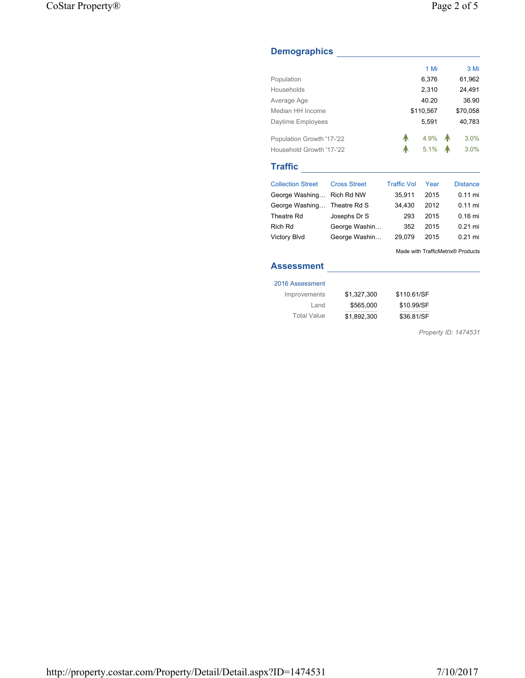## **Demographics**

|                           |                     |                    | 1 Mi      | 3 Mi            |
|---------------------------|---------------------|--------------------|-----------|-----------------|
| Population                |                     |                    | 6,376     | 61,962          |
| Households                |                     |                    | 2,310     | 24,491          |
| Average Age               |                     |                    | 40.20     | 36.90           |
| Median HH Income          |                     |                    | \$110,567 | \$70,058        |
| Daytime Employees         |                     |                    | 5,591     | 40,783          |
| Population Growth '17-'22 |                     | А                  | 4.9%      | 3.0%            |
| Household Growth '17-'22  |                     |                    | 5.1%      | 3.0%            |
|                           |                     |                    |           |                 |
| <b>Traffic</b>            |                     |                    |           |                 |
| <b>Collection Street</b>  | <b>Cross Street</b> | <b>Traffic Vol</b> | Year      | <b>Distance</b> |
| George Washing            | Rich Rd NW          | 35,911             | 2015      | $0.11$ mi       |
| George Washing            | Theatre Rd S        | 34,430             | 2012      | $0.11$ mi       |
| Theatre Rd                | Josephs Dr S        | 293                | 2015      | $0.16$ mi       |
| Rich Rd                   | George Washin       | 352                | 2015      | $0.21$ mi       |
| Victory Blvd              | George Washin       | 29,079             | 2015      | $0.21$ mi       |

# **Assessment**

#### 2016 Assessment

| Improvements       | \$1,327,300 | \$110.61/SF |
|--------------------|-------------|-------------|
| Land               | \$565,000   | \$10.99/SF  |
| <b>Total Value</b> | \$1.892.300 | \$36.81/SF  |

*Property ID: 1474531*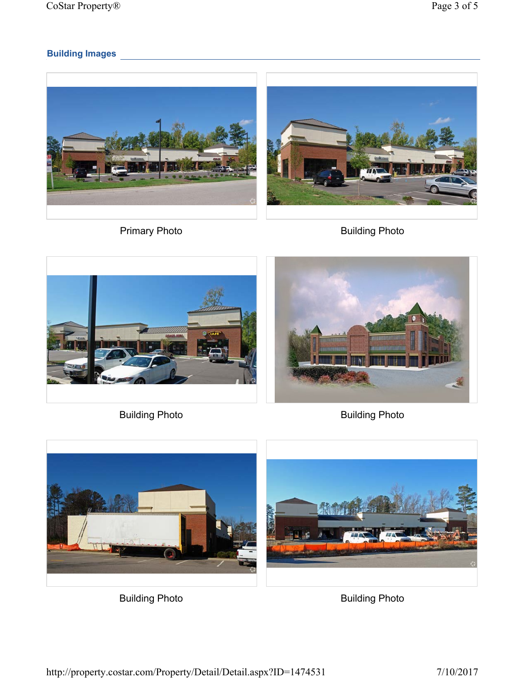# **Building Images**







Building Photo **Building Photo** 





Building Photo **Building Photo**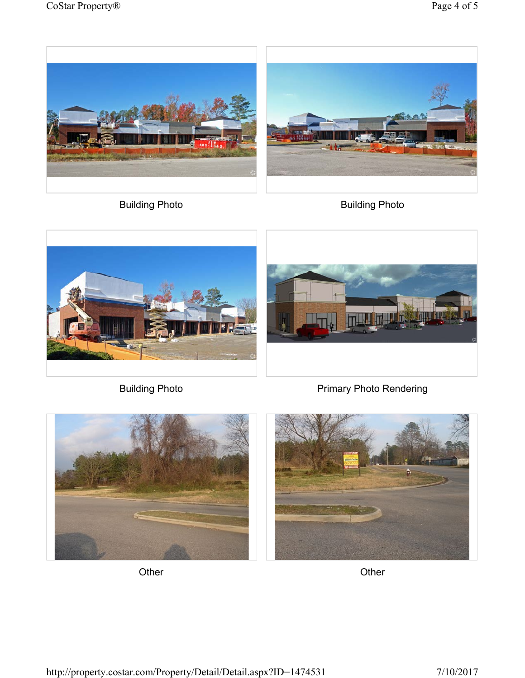



Building Photo **Building Photo** 



Building Photo **Primary Photo Rendering** 





Other Changes Changes Changes Changes Changes Changes Changes Changes Changes Changes Changes Changes Changes Changes Changes Changes Changes Changes Changes Changes Changes Changes Changes Changes Changes Changes Changes